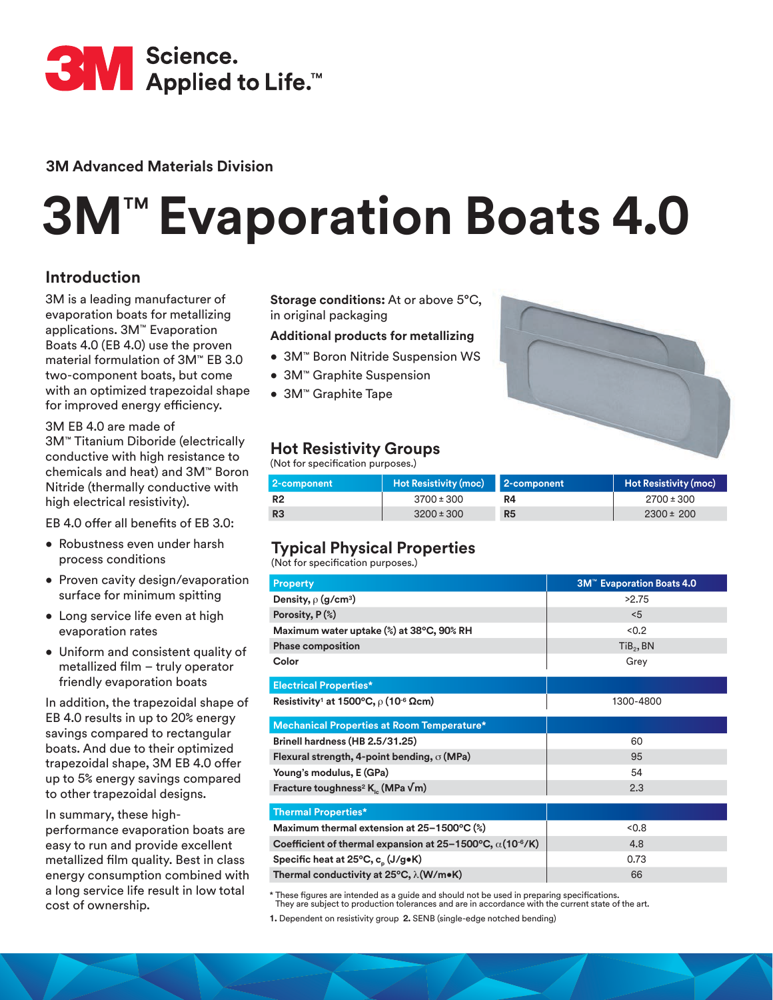

**3M Advanced Materials Division**

# **3M**™ **Evaporation Boats 4.0**

# **Introduction**

3M is a leading manufacturer of evaporation boats for metallizing applications. 3M™ Evaporation Boats 4.0 (EB 4.0) use the proven material formulation of 3M™ EB 3.0 two-component boats, but come with an optimized trapezoidal shape for improved energy efficiency.

3M EB 4.0 are made of 3M™ Titanium Diboride (electrically conductive with high resistance to chemicals and heat) and 3M™ Boron Nitride (thermally conductive with high electrical resistivity).

EB 4.0 offer all benefits of EB 3.0:

- Robustness even under harsh process conditions
- Proven cavity design/evaporation surface for minimum spitting
- Long service life even at high evaporation rates
- Uniform and consistent quality of metallized film – truly operator friendly evaporation boats

In addition, the trapezoidal shape of EB 4.0 results in up to 20% energy savings compared to rectangular boats. And due to their optimized trapezoidal shape, 3M EB 4.0 offer up to 5% energy savings compared to other trapezoidal designs.

In summary, these highperformance evaporation boats are easy to run and provide excellent metallized film quality. Best in class energy consumption combined with a long service life result in low total cost of ownership.

**Storage conditions:** At or above 5°C, in original packaging

### **Additional products for metallizing**

- 3M™ Boron Nitride Suspension WS
- 3M™ Graphite Suspension
- 3M™ Graphite Tape



## **Hot Resistivity Groups**

(Not for specification purposes.)

| 2-component    | Hot Resistivity (moc) 2-component |                | <b>Hot Resistivity (moc)</b> |
|----------------|-----------------------------------|----------------|------------------------------|
| R <sub>2</sub> | $3700 \pm 300$                    | R4             | $2700 \pm 300$               |
| R <sub>3</sub> | $3200 \pm 300$                    | R <sub>5</sub> | $2300 \pm 200$               |

# **Typical Physical Properties**

(Not for specification purposes.)

| <b>Property</b>                                                                         | 3M <sup>™</sup> Evaporation Boats 4.0 |  |
|-----------------------------------------------------------------------------------------|---------------------------------------|--|
| Density, $\rho$ (g/cm <sup>3</sup> )                                                    | >2.75                                 |  |
| Porosity, $P$ $(\%)$                                                                    | < 5                                   |  |
| Maximum water uptake (%) at 38°C, 90% RH                                                | < 0.2                                 |  |
| <b>Phase composition</b>                                                                | TiB <sub>2</sub> , BN                 |  |
| Color                                                                                   | Grey                                  |  |
| <b>Electrical Properties*</b>                                                           |                                       |  |
| Resistivity <sup>1</sup> at 1500°C, $\rho$ (10 <sup>-6</sup> Ωcm)                       | 1300-4800                             |  |
| Mechanical Properties at Room Temperature*                                              |                                       |  |
| Brinell hardness (HB 2.5/31.25)                                                         | 60                                    |  |
| Flexural strength, 4-point bending, $\sigma$ (MPa)                                      | 95                                    |  |
| Young's modulus, E (GPa)                                                                | 54                                    |  |
| Fracture toughness <sup>2</sup> K <sub>1</sub> (MPa $\sqrt{m}$ )                        | 2.3                                   |  |
| <b>Thermal Properties*</b>                                                              |                                       |  |
| Maximum thermal extension at 25-1500°C (%)                                              | < 0.8                                 |  |
| Coefficient of thermal expansion at $25-1500^{\circ}$ C, $\alpha$ (10 <sup>-6</sup> /K) | 4.8                                   |  |
| Specific heat at 25°C, c <sub>o</sub> (J/g•K)                                           | 0.73                                  |  |
| Thermal conductivity at 25°C, λ(W/m•K)                                                  | 66                                    |  |

\* These figures are intended as a guide and should not be used in preparing specifications. They are subject to production tolerances and are in accordance with the current state of the art.

**1.** Dependent on resistivity group **2.** SENB (single-edge notched bending)